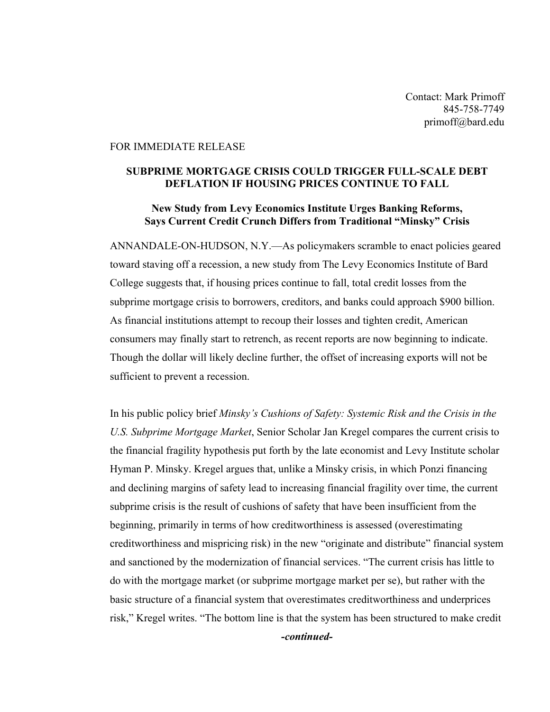Contact: Mark Primoff 845-758-7749 primoff@bard.edu

## FOR IMMEDIATE RELEASE

## SUBPRIME MORTGAGE CRISIS COULD TRIGGER FULL-SCALE DEBT DEFLATION IF HOUSING PRICES CONTINUE TO FALL

## New Study from Levy Economics Institute Urges Banking Reforms, Says Current Credit Crunch Differs from Traditional "Minsky" Crisis

ANNANDALE-ON-HUDSON, N.Y.—As policymakers scramble to enact policies geared toward staving off a recession, a new study from The Levy Economics Institute of Bard College suggests that, if housing prices continue to fall, total credit losses from the subprime mortgage crisis to borrowers, creditors, and banks could approach \$900 billion. As financial institutions attempt to recoup their losses and tighten credit, American consumers may finally start to retrench, as recent reports are now beginning to indicate. Though the dollar will likely decline further, the offset of increasing exports will not be sufficient to prevent a recession.

In his public policy brief *Minsky's Cushions of Safety: Systemic Risk and the Crisis in the U.S. Subprime Mortgage Market*, Senior Scholar Jan Kregel compares the current crisis to the financial fragility hypothesis put forth by the late economist and Levy Institute scholar Hyman P. Minsky. Kregel argues that, unlike a Minsky crisis, in which Ponzi financing and declining margins of safety lead to increasing financial fragility over time, the current subprime crisis is the result of cushions of safety that have been insufficient from the beginning, primarily in terms of how creditworthiness is assessed (overestimating creditworthiness and mispricing risk) in the new "originate and distribute" financial system and sanctioned by the modernization of financial services. "The current crisis has little to do with the mortgage market (or subprime mortgage market per se), but rather with the basic structure of a financial system that overestimates creditworthiness and underprices risk," Kregel writes. "The bottom line is that the system has been structured to make credit *-continued-*